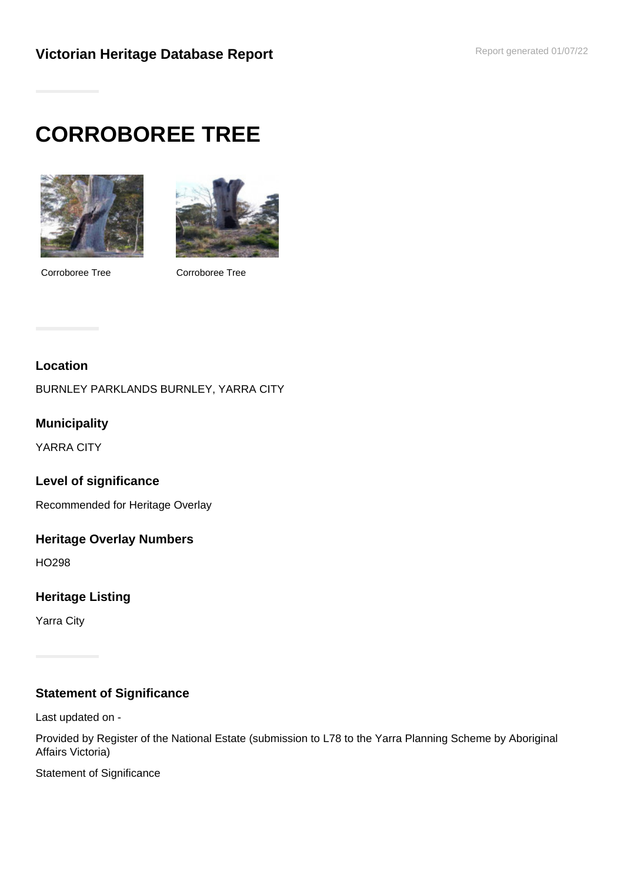# **CORROBOREE TREE**



Corroboree Tree Corroboree Tree



#### **Location**

BURNLEY PARKLANDS BURNLEY, YARRA CITY

### **Municipality**

YARRA CITY

#### **Level of significance**

Recommended for Heritage Overlay

#### **Heritage Overlay Numbers**

HO298

## **Heritage Listing**

Yarra City

## **Statement of Significance**

Last updated on -

Provided by Register of the National Estate (submission to L78 to the Yarra Planning Scheme by Aboriginal Affairs Victoria)

Statement of Significance